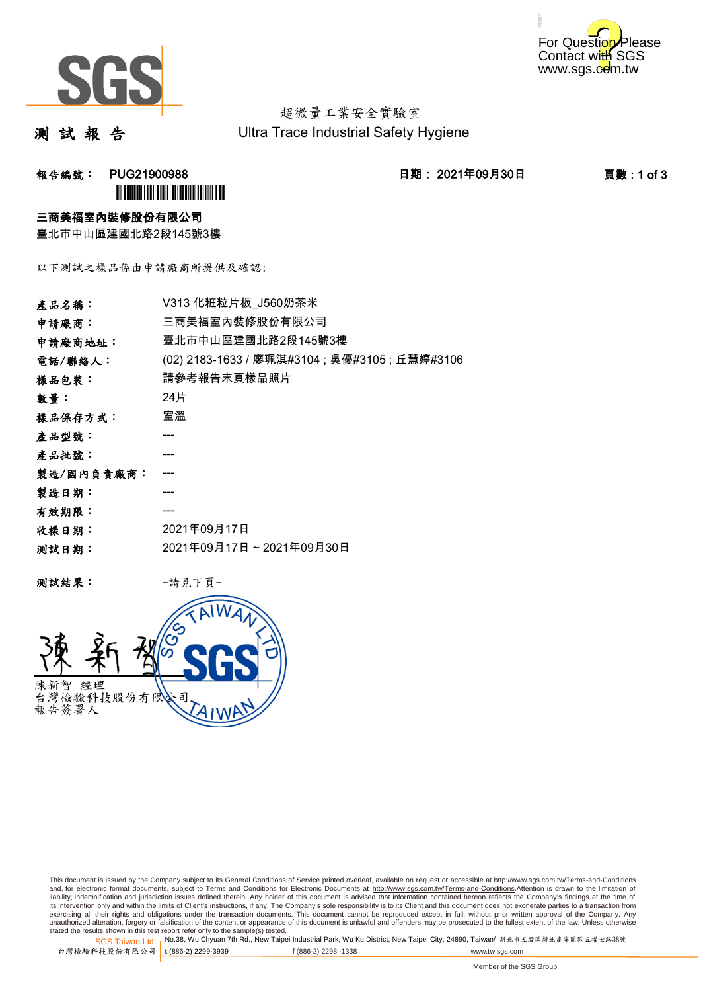



超微量工業安全實驗室 Ultra Trace Industrial Safety Hygiene

測 試 報 告

报告編號: PUG21900988 2021年09月30日 日期: 2021年09月30日 2021年09月30日 2021年09月30日 2021年0月第11 05 3 **ÌN BUGATH I DI BENIN DI BENIN DI BEN** 

#### 三商美福室內裝修股份有限公司

臺北市中山區建國北路2段145號3樓

以下測試之樣品係由申請廠商所提供及確認:

| 產品名稱:      | V313 化粧粒片板 J560奶茶米                             |  |
|------------|------------------------------------------------|--|
| 申請廠商:      | 三商美福室內裝修股份有限公司                                 |  |
| 申請廠商地址:    | 臺北市中山區建國北路2段145號3樓                             |  |
| 電話/聯絡人:    | (02) 2183-1633 / 廖珮淇#3104 ; 吳優#3105 ; 丘慧婷#3106 |  |
| 樣品包裝:      | 請參考報告末頁樣品照片                                    |  |
| 數量:        | 24片                                            |  |
| 樣品保存方式:    | 室溫                                             |  |
| 產品型號:      |                                                |  |
| 產品批號:      |                                                |  |
| 製造/國內負責廠商: |                                                |  |
| 製造日期:      |                                                |  |
| 有效期限:      |                                                |  |
| 收樣日期:      | 2021年09月17日                                    |  |
| 测試日期:      | 2021年09月17日~2021年09月30日                        |  |
|            |                                                |  |

测試結果: 一請見下頁



This document is issued by the Company subject to its General Conditions of Service printed overleaf, available on request or accessible at http://www.sgs.com.tw/Terms-and-Conditions and, for electronic format documents, subject to Terms and Conditions for Electronic Documents at <u>http://www.sgs.com.tw/Terms-and-Conditions</u>.Attention is drawn to the limitation of<br>liability, indemnification and jurisdic exercising all their rights and obligations under the transaction documents. This document cannot be reproduced except in full, without prior written approval of the Company. Any<br>unauthorized alteration, forgery or falsifi

SGS Taiwan Ltd. 1 stated the results shown in this test report refer only to the sample(s) tested.<br>Stated the results shown in this test report refer only to the sample(s) tested.

台灣檢驗科技股份有限公司

**t** (886-2) 2299-3939 **f** (886-2) 2298 -1338 www.tw.sgs.com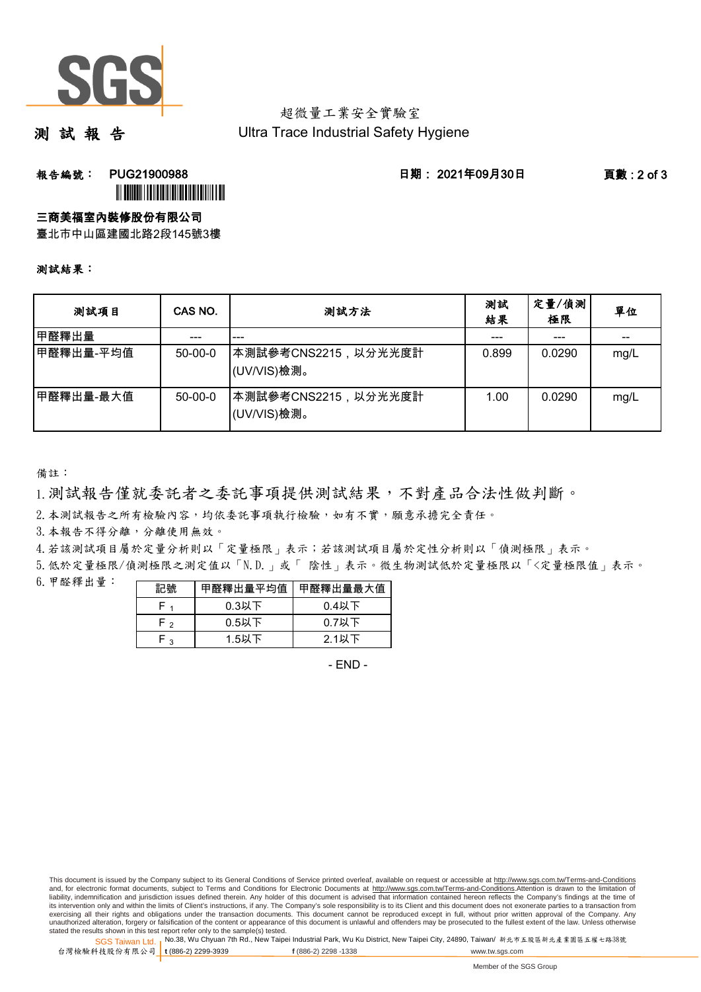

## 超微量工業安全實驗室 Ultra Trace Industrial Safety Hygiene

測 試 報 告

## 報告編號: PUG21900988 日期: 2021年09月30日 頁數 : 2 of 3 **`**

### 三商美福室內裝修股份有限公司

臺北市中山區建國北路2段145號3樓

#### 測試結果:

| 测試項目      | CAS NO.   | 測試方法                                | 測試<br>結果 | 定量/偵測<br>極限 | 單位    |
|-----------|-----------|-------------------------------------|----------|-------------|-------|
| 甲醛釋出量     | ---       | ---                                 |          | ---         | $- -$ |
| 甲醛釋出量-平均值 | $50-00-0$ | 本測試參考CNS2215,以分光光度計<br>(UV/VIS)檢測。  | 0.899    | 0.0290      | mg/L  |
| 甲醛釋出量-最大值 | $50-00-0$ | 本測試參考CNS2215,以分光光度計 <br>(UV/VIS)檢測。 | 1.00     | 0.0290      | mg/L  |

備註:

1.測試報告僅就委託者之委託事項提供測試結果,不對產品合法性做判斷。

2.本測試報告之所有檢驗內容,均依委託事項執行檢驗,如有不實,願意承擔完全責任。

3. 本報告不得分離,分離使用無效。

4.若該測試項目屬於定量分析則以「定量極限」表示;若該測試項目屬於定性分析則以「偵測極限」表示。

5.低於定量極限/偵測極限之測定值以「N.D.」或「 陰性」表示。微生物測試低於定量極限以「<定量極限值」表示。

6.甲醛釋出量:

| 記號     | 甲醛釋出量平均值 | 甲醛釋出量最大值 |
|--------|----------|----------|
|        | $0.3$ 以下 | $0.4$ 以下 |
| - ^    | $0.5$ 以下 | $0.7$ 以下 |
| $\sim$ | 1.5以下    | 2.1以下    |

- END -

SGS Taiwan Ltd. 1 stated the results shown in this test report refer only to the sample(s) tested.<br>Stated the results shown in this test report refer only to the sample(s) tested.

台灣檢驗科技股份有限公司

**t** (886-2) 2299-3939 **f** (886-2) 2298 -1338 www.tw.sgs.com

This document is issued by the Company subject to its General Conditions of Service printed overleaf, available on request or accessible at http://www.sgs.com.tw/Terms-and-Conditions and, for electronic format documents, subject to Terms and Conditions for Electronic Documents at http://www.sgs.com.tw/Terms-and-Conditions.Attention is drawn to the limitation of liability, indemnification and jurisdiction issues defined therein. Any holder of this document is advised that information contained hereon reflects the Company's findings at the time of<br>its intervention only and within t exercising all their rights and obligations under the transaction documents. This document cannot be reproduced except in full, without prior written approval of the Company. Any<br>unauthorized alteration, forgery or falsifi